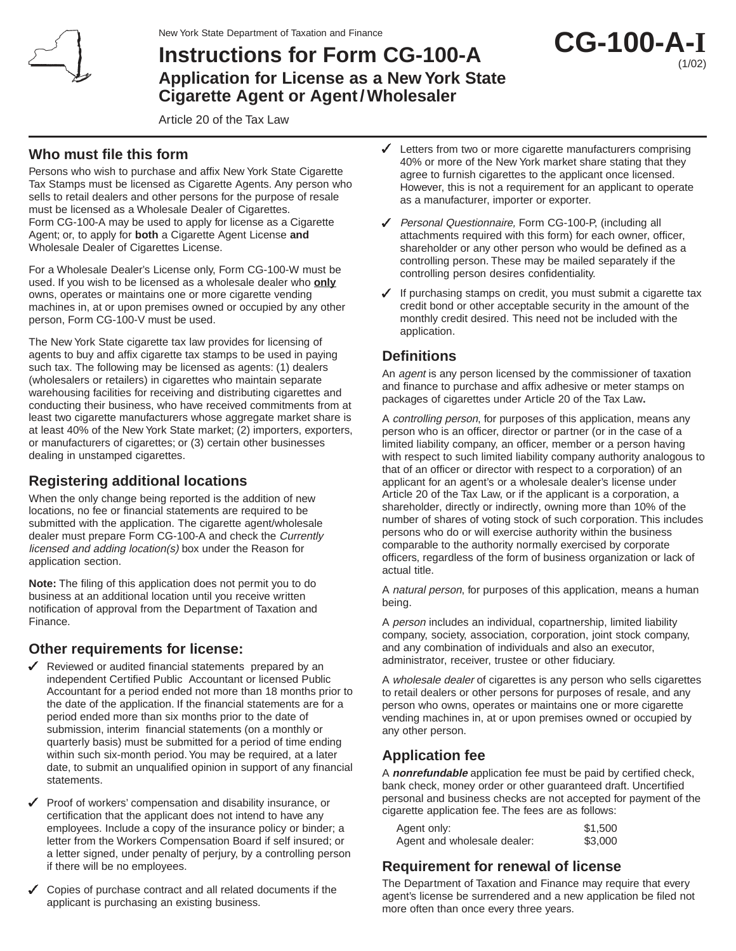

# **Instructions for Form CG-100-A Application for License as a New York State Cigarette Agent or Agent/Wholesaler**



Article 20 of the Tax Law

#### **Who must file this form**

Persons who wish to purchase and affix New York State Cigarette Tax Stamps must be licensed as Cigarette Agents. Any person who sells to retail dealers and other persons for the purpose of resale must be licensed as a Wholesale Dealer of Cigarettes. Form CG-100-A may be used to apply for license as a Cigarette Agent; or, to apply for **both** a Cigarette Agent License **and** Wholesale Dealer of Cigarettes License.

For a Wholesale Dealer's License only, Form CG-100-W must be used. If you wish to be licensed as a wholesale dealer who **only** owns, operates or maintains one or more cigarette vending machines in, at or upon premises owned or occupied by any other person, Form CG-100-V must be used.

The New York State cigarette tax law provides for licensing of agents to buy and affix cigarette tax stamps to be used in paying such tax. The following may be licensed as agents: (1) dealers (wholesalers or retailers) in cigarettes who maintain separate warehousing facilities for receiving and distributing cigarettes and conducting their business, who have received commitments from at least two cigarette manufacturers whose aggregate market share is at least 40% of the New York State market; (2) importers, exporters, or manufacturers of cigarettes; or (3) certain other businesses dealing in unstamped cigarettes.

## **Registering additional locations**

When the only change being reported is the addition of new locations, no fee or financial statements are required to be submitted with the application. The cigarette agent/wholesale dealer must prepare Form CG-100-A and check the Currently licensed and adding location(s) box under the Reason for application section.

**Note:** The filing of this application does not permit you to do business at an additional location until you receive written notification of approval from the Department of Taxation and Finance.

## **Other requirements for license:**

- Reviewed or audited financial statements prepared by an independent Certified Public Accountant or licensed Public Accountant for a period ended not more than 18 months prior to the date of the application. If the financial statements are for a period ended more than six months prior to the date of submission, interim financial statements (on a monthly or quarterly basis) must be submitted for a period of time ending within such six-month period. You may be required, at a later date, to submit an unqualified opinion in support of any financial statements.
- $\checkmark$  Proof of workers' compensation and disability insurance, or certification that the applicant does not intend to have any employees. Include a copy of the insurance policy or binder; a letter from the Workers Compensation Board if self insured; or a letter signed, under penalty of perjury, by a controlling person if there will be no employees.
- Copies of purchase contract and all related documents if the applicant is purchasing an existing business.
- Letters from two or more cigarette manufacturers comprising 40% or more of the New York market share stating that they agree to furnish cigarettes to the applicant once licensed. However, this is not a requirement for an applicant to operate as a manufacturer, importer or exporter.
- Personal Questionnaire, Form CG-100-P, (including all attachments required with this form) for each owner, officer, shareholder or any other person who would be defined as a controlling person. These may be mailed separately if the controlling person desires confidentiality.
- $\checkmark$  If purchasing stamps on credit, you must submit a cigarette tax credit bond or other acceptable security in the amount of the monthly credit desired. This need not be included with the application.

### **Definitions**

An *agent* is any person licensed by the commissioner of taxation and finance to purchase and affix adhesive or meter stamps on packages of cigarettes under Article 20 of the Tax Law**.**

A controlling person, for purposes of this application, means any person who is an officer, director or partner (or in the case of a limited liability company, an officer, member or a person having with respect to such limited liability company authority analogous to that of an officer or director with respect to a corporation) of an applicant for an agent's or a wholesale dealer's license under Article 20 of the Tax Law, or if the applicant is a corporation, a shareholder, directly or indirectly, owning more than 10% of the number of shares of voting stock of such corporation. This includes persons who do or will exercise authority within the business comparable to the authority normally exercised by corporate officers, regardless of the form of business organization or lack of actual title.

A natural person, for purposes of this application, means a human being.

A *person* includes an individual, copartnership, limited liability company, society, association, corporation, joint stock company, and any combination of individuals and also an executor, administrator, receiver, trustee or other fiduciary.

A wholesale dealer of cigarettes is any person who sells cigarettes to retail dealers or other persons for purposes of resale, and any person who owns, operates or maintains one or more cigarette vending machines in, at or upon premises owned or occupied by any other person.

## **Application fee**

A **nonrefundable** application fee must be paid by certified check, bank check, money order or other guaranteed draft. Uncertified personal and business checks are not accepted for payment of the cigarette application fee. The fees are as follows:

| Agent only:                 | \$1,500 |
|-----------------------------|---------|
| Agent and wholesale dealer: | \$3,000 |

## **Requirement for renewal of license**

The Department of Taxation and Finance may require that every agent's license be surrendered and a new application be filed not more often than once every three years.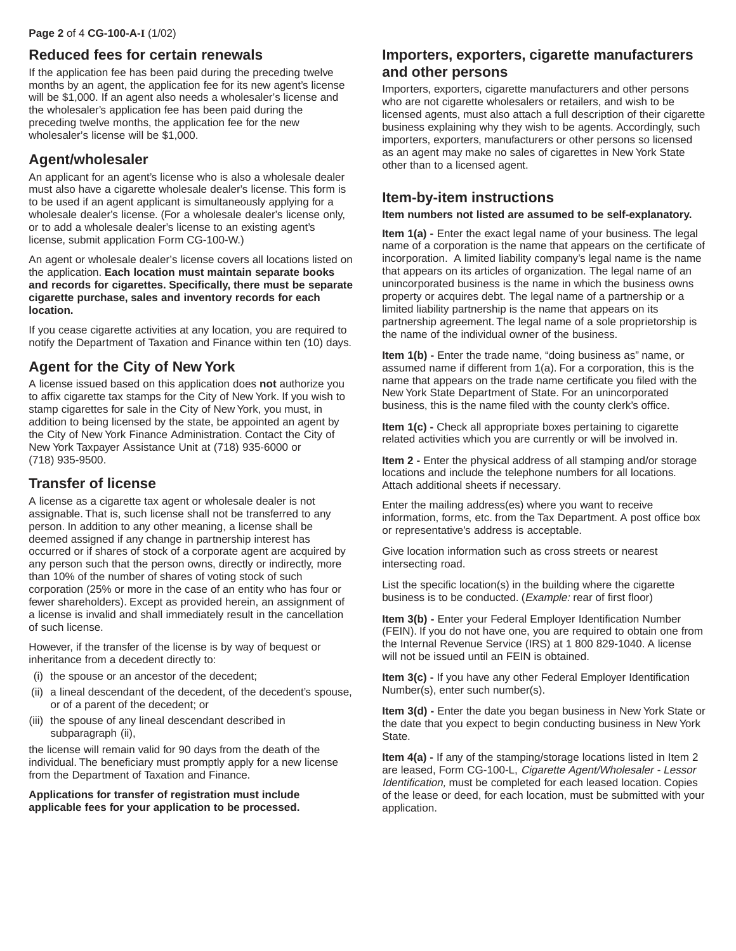#### **Reduced fees for certain renewals**

If the application fee has been paid during the preceding twelve months by an agent, the application fee for its new agent's license will be \$1,000. If an agent also needs a wholesaler's license and the wholesaler's application fee has been paid during the preceding twelve months, the application fee for the new wholesaler's license will be \$1,000.

#### **Agent/wholesaler**

An applicant for an agent's license who is also a wholesale dealer must also have a cigarette wholesale dealer's license. This form is to be used if an agent applicant is simultaneously applying for a wholesale dealer's license. (For a wholesale dealer's license only, or to add a wholesale dealer's license to an existing agent's license, submit application Form CG-100-W.)

An agent or wholesale dealer's license covers all locations listed on the application. **Each location must maintain separate books and records for cigarettes. Specifically, there must be separate cigarette purchase, sales and inventory records for each location.**

If you cease cigarette activities at any location, you are required to notify the Department of Taxation and Finance within ten (10) days.

### **Agent for the City of New York**

A license issued based on this application does **not** authorize you to affix cigarette tax stamps for the City of New York. If you wish to stamp cigarettes for sale in the City of New York, you must, in addition to being licensed by the state, be appointed an agent by the City of New York Finance Administration. Contact the City of New York Taxpayer Assistance Unit at (718) 935-6000 or (718) 935-9500.

#### **Transfer of license**

A license as a cigarette tax agent or wholesale dealer is not assignable. That is, such license shall not be transferred to any person. In addition to any other meaning, a license shall be deemed assigned if any change in partnership interest has occurred or if shares of stock of a corporate agent are acquired by any person such that the person owns, directly or indirectly, more than 10% of the number of shares of voting stock of such corporation (25% or more in the case of an entity who has four or fewer shareholders). Except as provided herein, an assignment of a license is invalid and shall immediately result in the cancellation of such license.

However, if the transfer of the license is by way of bequest or inheritance from a decedent directly to:

- (i) the spouse or an ancestor of the decedent;
- (ii) a lineal descendant of the decedent, of the decedent's spouse, or of a parent of the decedent; or
- (iii) the spouse of any lineal descendant described in subparagraph (ii),

the license will remain valid for 90 days from the death of the individual. The beneficiary must promptly apply for a new license from the Department of Taxation and Finance.

**Applications for transfer of registration must include applicable fees for your application to be processed.**

#### **Importers, exporters, cigarette manufacturers and other persons**

Importers, exporters, cigarette manufacturers and other persons who are not cigarette wholesalers or retailers, and wish to be licensed agents, must also attach a full description of their cigarette business explaining why they wish to be agents. Accordingly, such importers, exporters, manufacturers or other persons so licensed as an agent may make no sales of cigarettes in New York State other than to a licensed agent.

#### **Item-by-item instructions**

**Item numbers not listed are assumed to be self-explanatory.**

**Item 1(a) -** Enter the exact legal name of your business. The legal name of a corporation is the name that appears on the certificate of incorporation. A limited liability company's legal name is the name that appears on its articles of organization. The legal name of an unincorporated business is the name in which the business owns property or acquires debt. The legal name of a partnership or a limited liability partnership is the name that appears on its partnership agreement. The legal name of a sole proprietorship is the name of the individual owner of the business.

**Item 1(b) -** Enter the trade name, "doing business as" name, or assumed name if different from 1(a). For a corporation, this is the name that appears on the trade name certificate you filed with the New York State Department of State. For an unincorporated business, this is the name filed with the county clerk's office.

**Item 1(c) -** Check all appropriate boxes pertaining to cigarette related activities which you are currently or will be involved in.

**Item 2 -** Enter the physical address of all stamping and/or storage locations and include the telephone numbers for all locations. Attach additional sheets if necessary.

Enter the mailing address(es) where you want to receive information, forms, etc. from the Tax Department. A post office box or representative's address is acceptable.

Give location information such as cross streets or nearest intersecting road.

List the specific location(s) in the building where the cigarette business is to be conducted. (Example: rear of first floor)

**Item 3(b) - Enter your Federal Employer Identification Number** (FEIN). If you do not have one, you are required to obtain one from the Internal Revenue Service (IRS) at 1 800 829-1040. A license will not be issued until an FEIN is obtained.

**Item 3(c) -** If you have any other Federal Employer Identification Number(s), enter such number(s).

**Item 3(d) -** Enter the date you began business in New York State or the date that you expect to begin conducting business in New York State.

**Item 4(a) -** If any of the stamping/storage locations listed in Item 2 are leased, Form CG-100-L, Cigarette Agent/Wholesaler - Lessor Identification, must be completed for each leased location. Copies of the lease or deed, for each location, must be submitted with your application.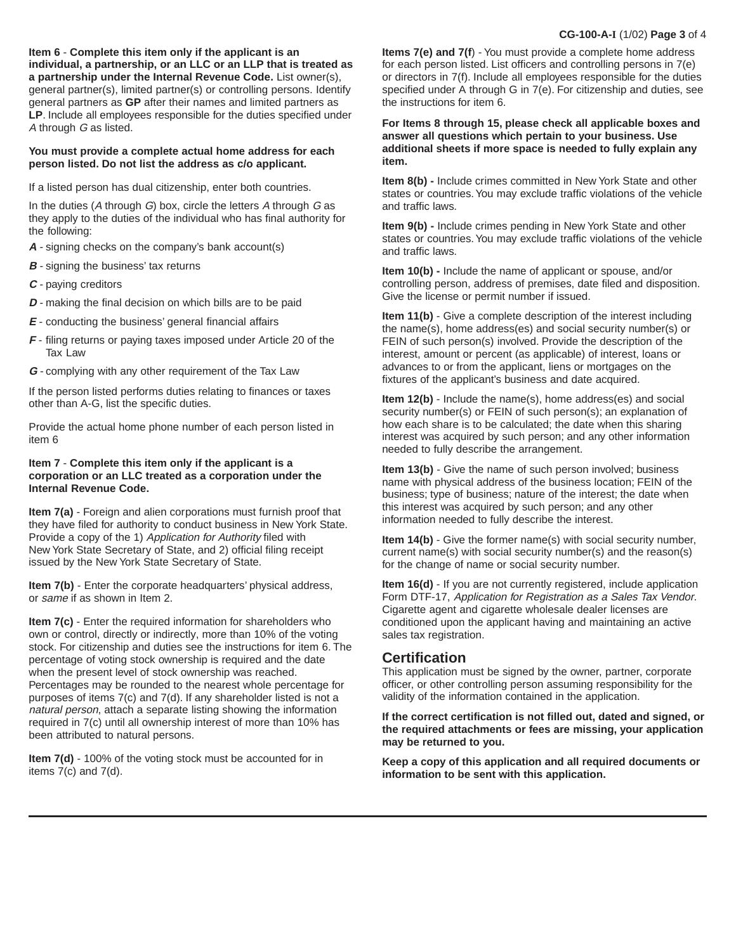**Item 6** - **Complete this item only if the applicant is an individual, a partnership, or an LLC or an LLP that is treated as a partnership under the Internal Revenue Code.** List owner(s), general partner(s), limited partner(s) or controlling persons. Identify general partners as **GP** after their names and limited partners as **LP**. Include all employees responsible for the duties specified under A through G as listed.

#### **You must provide a complete actual home address for each person listed. Do not list the address as c/o applicant.**

If a listed person has dual citizenship, enter both countries.

In the duties (A through  $G$ ) box, circle the letters A through  $G$  as they apply to the duties of the individual who has final authority for the following:

- **A** signing checks on the company's bank account(s)
- **B** signing the business' tax returns
- **C** paying creditors
- **D** making the final decision on which bills are to be paid
- **E** conducting the business' general financial affairs
- **F** filing returns or paying taxes imposed under Article 20 of the Tax Law
- **G** complying with any other requirement of the Tax Law

If the person listed performs duties relating to finances or taxes other than A-G, list the specific duties.

Provide the actual home phone number of each person listed in item 6

#### **Item 7** - **Complete this item only if the applicant is a corporation or an LLC treated as a corporation under the Internal Revenue Code.**

**Item 7(a)** - Foreign and alien corporations must furnish proof that they have filed for authority to conduct business in New York State. Provide a copy of the 1) Application for Authority filed with New York State Secretary of State, and 2) official filing receipt issued by the New York State Secretary of State.

**Item 7(b)** - Enter the corporate headquarters' physical address, or same if as shown in Item 2.

**Item 7(c)** - Enter the required information for shareholders who own or control, directly or indirectly, more than 10% of the voting stock. For citizenship and duties see the instructions for item 6. The percentage of voting stock ownership is required and the date when the present level of stock ownership was reached. Percentages may be rounded to the nearest whole percentage for purposes of items 7(c) and 7(d). If any shareholder listed is not a natural person, attach a separate listing showing the information required in 7(c) until all ownership interest of more than 10% has been attributed to natural persons.

**Item 7(d)** - 100% of the voting stock must be accounted for in items  $7(c)$  and  $7(d)$ .

**Items 7(e) and 7(f**) - You must provide a complete home address for each person listed. List officers and controlling persons in 7(e) or directors in 7(f). Include all employees responsible for the duties specified under A through G in 7(e). For citizenship and duties, see the instructions for item 6.

**For Items 8 through 15, please check all applicable boxes and answer all questions which pertain to your business. Use additional sheets if more space is needed to fully explain any item.**

**Item 8(b) -** Include crimes committed in New York State and other states or countries. You may exclude traffic violations of the vehicle and traffic laws.

**Item 9(b) -** Include crimes pending in New York State and other states or countries. You may exclude traffic violations of the vehicle and traffic laws.

**Item 10(b) -** Include the name of applicant or spouse, and/or controlling person, address of premises, date filed and disposition. Give the license or permit number if issued.

**Item 11(b)** - Give a complete description of the interest including the name(s), home address(es) and social security number(s) or FEIN of such person(s) involved. Provide the description of the interest, amount or percent (as applicable) of interest, loans or advances to or from the applicant, liens or mortgages on the fixtures of the applicant's business and date acquired.

**Item 12(b)** - Include the name(s), home address(es) and social security number(s) or FEIN of such person(s); an explanation of how each share is to be calculated; the date when this sharing interest was acquired by such person; and any other information needed to fully describe the arrangement.

**Item 13(b)** - Give the name of such person involved; business name with physical address of the business location; FEIN of the business; type of business; nature of the interest; the date when this interest was acquired by such person; and any other information needed to fully describe the interest.

**Item 14(b)** - Give the former name(s) with social security number, current name(s) with social security number(s) and the reason(s) for the change of name or social security number.

**Item 16(d)** - If you are not currently registered, include application Form DTF-17, Application for Registration as a Sales Tax Vendor. Cigarette agent and cigarette wholesale dealer licenses are conditioned upon the applicant having and maintaining an active sales tax registration.

#### **Certification**

This application must be signed by the owner, partner, corporate officer, or other controlling person assuming responsibility for the validity of the information contained in the application.

**If the correct certification is not filled out, dated and signed, or the required attachments or fees are missing, your application may be returned to you.**

**Keep a copy of this application and all required documents or information to be sent with this application.**